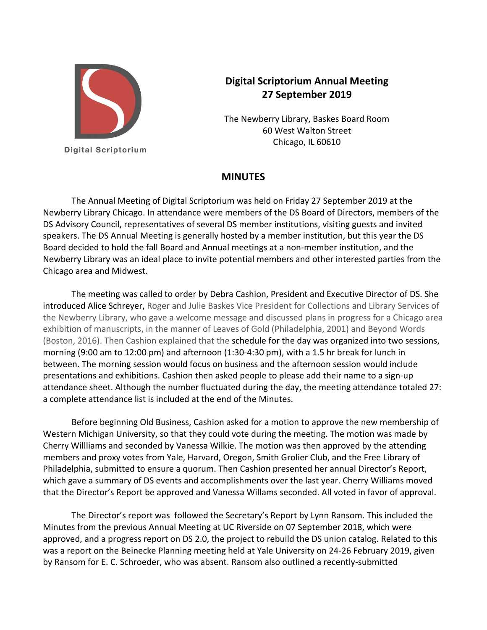

**Digital Scriptorium** 

## **Digital Scriptorium Annual Meeting 27 September 2019**

The Newberry Library, Baskes Board Room 60 West Walton Street Chicago, IL 60610

## **MINUTES**

The Annual Meeting of Digital Scriptorium was held on Friday 27 September 2019 at the Newberry Library Chicago. In attendance were members of the DS Board of Directors, members of the DS Advisory Council, representatives of several DS member institutions, visiting guests and invited speakers. The DS Annual Meeting is generally hosted by a member institution, but this year the DS Board decided to hold the fall Board and Annual meetings at a non‐member institution, and the Newberry Library was an ideal place to invite potential members and other interested parties from the Chicago area and Midwest.

The meeting was called to order by Debra Cashion, President and Executive Director of DS. She introduced Alice Schreyer, Roger and Julie Baskes Vice President for Collections and Library Services of the Newberry Library, who gave a welcome message and discussed plans in progress for a Chicago area exhibition of manuscripts, in the manner of Leaves of Gold (Philadelphia, 2001) and Beyond Words (Boston, 2016). Then Cashion explained that the schedule for the day was organized into two sessions, morning (9:00 am to 12:00 pm) and afternoon (1:30-4:30 pm), with a 1.5 hr break for lunch in between. The morning session would focus on business and the afternoon session would include presentations and exhibitions. Cashion then asked people to please add their name to a sign-up attendance sheet. Although the number fluctuated during the day, the meeting attendance totaled 27: a complete attendance list is included at the end of the Minutes.

Before beginning Old Business, Cashion asked for a motion to approve the new membership of Western Michigan University, so that they could vote during the meeting. The motion was made by Cherry Willliams and seconded by Vanessa Wilkie. The motion was then approved by the attending members and proxy votes from Yale, Harvard, Oregon, Smith Grolier Club, and the Free Library of Philadelphia, submitted to ensure a quorum. Then Cashion presented her annual Director's Report, which gave a summary of DS events and accomplishments over the last year. Cherry Williams moved that the Director's Report be approved and Vanessa Willams seconded. All voted in favor of approval.

The Director's report was followed the Secretary's Report by Lynn Ransom. This included the Minutes from the previous Annual Meeting at UC Riverside on 07 September 2018, which were approved, and a progress report on DS 2.0, the project to rebuild the DS union catalog. Related to this was a report on the Beinecke Planning meeting held at Yale University on 24‐26 February 2019, given by Ransom for E. C. Schroeder, who was absent. Ransom also outlined a recently‐submitted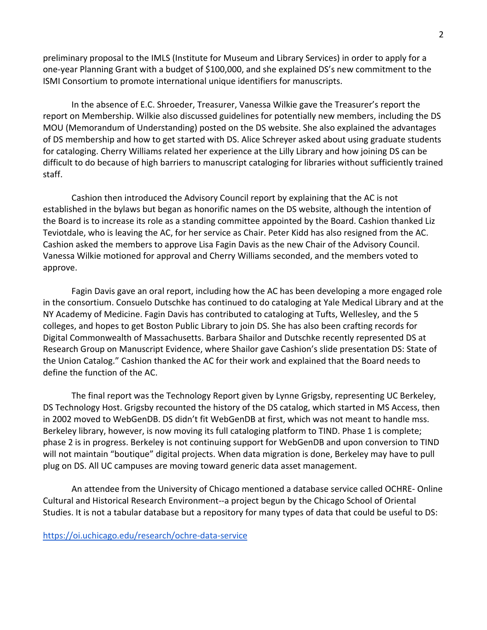preliminary proposal to the IMLS (Institute for Museum and Library Services) in order to apply for a one‐year Planning Grant with a budget of \$100,000, and she explained DS's new commitment to the ISMI Consortium to promote international unique identifiers for manuscripts.

In the absence of E.C. Shroeder, Treasurer, Vanessa Wilkie gave the Treasurer's report the report on Membership. Wilkie also discussed guidelines for potentially new members, including the DS MOU (Memorandum of Understanding) posted on the DS website. She also explained the advantages of DS membership and how to get started with DS. Alice Schreyer asked about using graduate students for cataloging. Cherry Williams related her experience at the Lilly Library and how joining DS can be difficult to do because of high barriers to manuscript cataloging for libraries without sufficiently trained staff.

Cashion then introduced the Advisory Council report by explaining that the AC is not established in the bylaws but began as honorific names on the DS website, although the intention of the Board is to increase its role as a standing committee appointed by the Board. Cashion thanked Liz Teviotdale, who is leaving the AC, for her service as Chair. Peter Kidd has also resigned from the AC. Cashion asked the members to approve Lisa Fagin Davis as the new Chair of the Advisory Council. Vanessa Wilkie motioned for approval and Cherry Williams seconded, and the members voted to approve.

Fagin Davis gave an oral report, including how the AC has been developing a more engaged role in the consortium. Consuelo Dutschke has continued to do cataloging at Yale Medical Library and at the NY Academy of Medicine. Fagin Davis has contributed to cataloging at Tufts, Wellesley, and the 5 colleges, and hopes to get Boston Public Library to join DS. She has also been crafting records for Digital Commonwealth of Massachusetts. Barbara Shailor and Dutschke recently represented DS at Research Group on Manuscript Evidence, where Shailor gave Cashion's slide presentation DS: State of the Union Catalog." Cashion thanked the AC for their work and explained that the Board needs to define the function of the AC.

The final report was the Technology Report given by Lynne Grigsby, representing UC Berkeley, DS Technology Host. Grigsby recounted the history of the DS catalog, which started in MS Access, then in 2002 moved to WebGenDB. DS didn't fit WebGenDB at first, which was not meant to handle mss. Berkeley library, however, is now moving its full cataloging platform to TIND. Phase 1 is complete; phase 2 is in progress. Berkeley is not continuing support for WebGenDB and upon conversion to TIND will not maintain "boutique" digital projects. When data migration is done, Berkeley may have to pull plug on DS. All UC campuses are moving toward generic data asset management.

An attendee from the University of Chicago mentioned a database service called OCHRE‐ Online Cultural and Historical Research Environment‐‐a project begun by the Chicago School of Oriental Studies. It is not a tabular database but a repository for many types of data that could be useful to DS: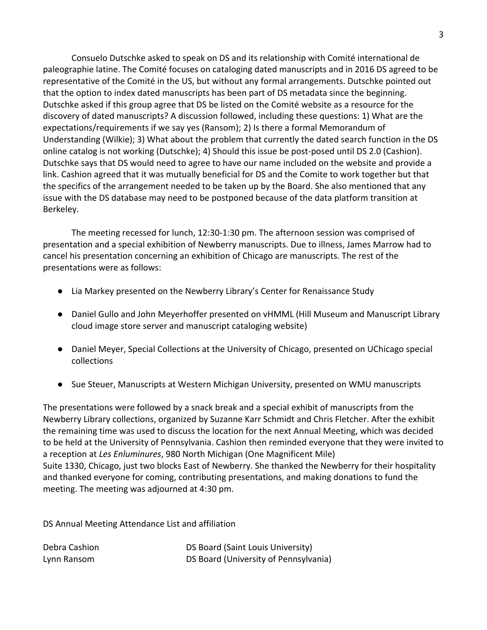Consuelo Dutschke asked to speak on DS and its relationship with Comité international de paleographie latine. The Comité focuses on cataloging dated manuscripts and in 2016 DS agreed to be representative of the Comité in the US, but without any formal arrangements. Dutschke pointed out that the option to index dated manuscripts has been part of DS metadata since the beginning. Dutschke asked if this group agree that DS be listed on the Comité website as a resource for the discovery of dated manuscripts? A discussion followed, including these questions: 1) What are the expectations/requirements if we say yes (Ransom); 2) Is there a formal Memorandum of Understanding (Wilkie); 3) What about the problem that currently the dated search function in the DS online catalog is not working (Dutschke); 4) Should this issue be post‐posed until DS 2.0 (Cashion). Dutschke says that DS would need to agree to have our name included on the website and provide a link. Cashion agreed that it was mutually beneficial for DS and the Comite to work together but that the specifics of the arrangement needed to be taken up by the Board. She also mentioned that any issue with the DS database may need to be postponed because of the data platform transition at Berkeley.

The meeting recessed for lunch, 12:30‐1:30 pm. The afternoon session was comprised of presentation and a special exhibition of Newberry manuscripts. Due to illness, James Marrow had to cancel his presentation concerning an exhibition of Chicago are manuscripts. The rest of the presentations were as follows:

- Lia Markey presented on the Newberry Library's Center for Renaissance Study
- Daniel Gullo and John Meyerhoffer presented on vHMML (Hill Museum and Manuscript Library cloud image store server and manuscript cataloging website)
- Daniel Meyer, Special Collections at the University of Chicago, presented on UChicago special collections
- Sue Steuer, Manuscripts at Western Michigan University, presented on WMU manuscripts

The presentations were followed by a snack break and a special exhibit of manuscripts from the Newberry Library collections, organized by Suzanne Karr Schmidt and Chris Fletcher. After the exhibit the remaining time was used to discuss the location for the next Annual Meeting, which was decided to be held at the University of Pennsylvania. Cashion then reminded everyone that they were invited to a reception at *Les Enluminures*, 980 North Michigan (One Magnificent Mile) Suite 1330, Chicago, just two blocks East of Newberry. She thanked the Newberry for their hospitality and thanked everyone for coming, contributing presentations, and making donations to fund the meeting. The meeting was adjourned at 4:30 pm.

DS Annual Meeting Attendance List and affiliation

| Debra Cashion | DS Board (Saint Louis University)     |
|---------------|---------------------------------------|
| Lynn Ransom   | DS Board (University of Pennsylvania) |